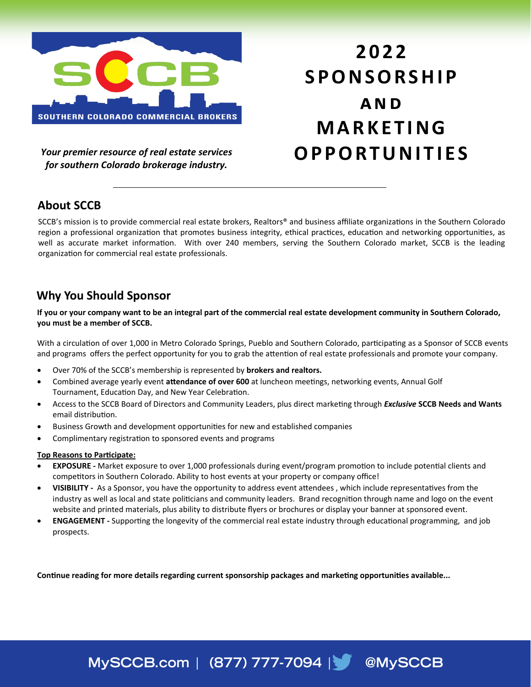

*Your premier resource of real estate services for southern Colorado brokerage industry.*

# **2 0 2 2 S P O N S O R S H I P a n d M A R K E T I N G O P P O R T U N I T I E S**

## **About SCCB**

SCCB's mission is to provide commercial real estate brokers, Realtors® and business affiliate organizations in the Southern Colorado region a professional organization that promotes business integrity, ethical practices, education and networking opportunities, as well as accurate market information. With over 240 members, serving the Southern Colorado market, SCCB is the leading organization for commercial real estate professionals.

## **Why You Should Sponsor**

**If you or your company want to be an integral part of the commercial real estate development community in Southern Colorado, you must be a member of SCCB.**

With a circulation of over 1,000 in Metro Colorado Springs, Pueblo and Southern Colorado, participating as a Sponsor of SCCB events and programs offers the perfect opportunity for you to grab the attention of real estate professionals and promote your company.

- Over 70% of the SCCB's membership is represented by **brokers and realtors.**
- Combined average yearly event **attendance of over 600** at luncheon meetings, networking events, Annual Golf Tournament, Education Day, and New Year Celebration.
- Access to the SCCB Board of Directors and Community Leaders, plus direct marketing through *Exclusive* **SCCB Needs and Wants**  email distribution.
- Business Growth and development opportunities for new and established companies
- Complimentary registration to sponsored events and programs

#### **Top Reasons to Participate:**

- **EXPOSURE -** Market exposure to over 1,000 professionals during event/program promotion to include potential clients and competitors in Southern Colorado. Ability to host events at your property or company office!
- **VISIBILITY -** As a Sponsor, you have the opportunity to address event attendees , which include representatives from the industry as well as local and state politicians and community leaders. Brand recognition through name and logo on the event website and printed materials, plus ability to distribute flyers or brochures or display your banner at sponsored event.
- **ENGAGEMENT -** Supporting the longevity of the commercial real estate industry through educational programming, and job prospects.

MySCCB.com | (877) 777-7094 | @MySCCB

**Continue reading for more details regarding current sponsorship packages and marketing opportunities available...**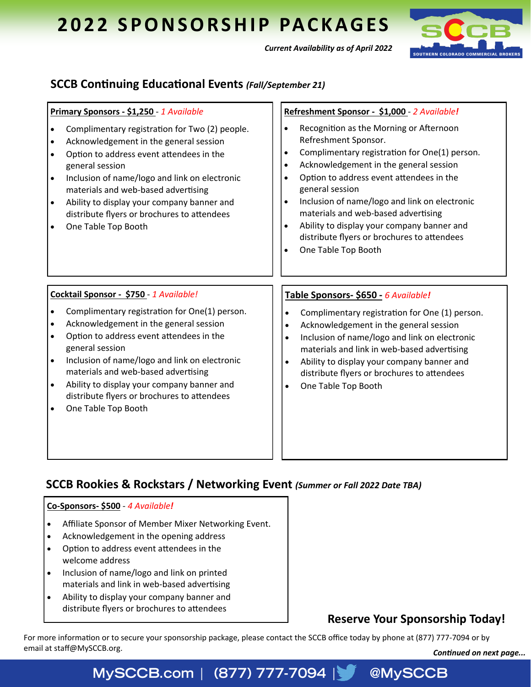# **2022 SPONSORSHIP PACKAGES**



*Current Availability as of April 2022*

## **SCCB Continuing Educational Events** *(Fall/September 21)*

| Primary Sponsors - \$1,250 - 1 Available                                                                                                                                                                                                                                                                                                                                                                                                                                       | Refreshment Sponsor - \$1,000 - 2 Available!                                                                                                                                                                                                                                                                                                                                                                                                       |
|--------------------------------------------------------------------------------------------------------------------------------------------------------------------------------------------------------------------------------------------------------------------------------------------------------------------------------------------------------------------------------------------------------------------------------------------------------------------------------|----------------------------------------------------------------------------------------------------------------------------------------------------------------------------------------------------------------------------------------------------------------------------------------------------------------------------------------------------------------------------------------------------------------------------------------------------|
| Complimentary registration for Two (2) people.<br>$\bullet$<br>Acknowledgement in the general session<br>$\bullet$<br>Option to address event attendees in the<br>$\bullet$<br>general session<br>Inclusion of name/logo and link on electronic<br>$\bullet$<br>materials and web-based advertising<br>Ability to display your company banner and<br>$\bullet$<br>distribute flyers or brochures to attendees<br>One Table Top Booth                                           | Recognition as the Morning or Afternoon<br>Refreshment Sponsor.<br>Complimentary registration for One(1) person.<br>Acknowledgement in the general session<br>$\bullet$<br>Option to address event attendees in the<br>general session<br>Inclusion of name/logo and link on electronic<br>materials and web-based advertising<br>Ability to display your company banner and<br>distribute flyers or brochures to attendees<br>One Table Top Booth |
| Cocktail Sponsor - \$750 - 1 Available!<br>Complimentary registration for One(1) person.<br>$\bullet$<br>Acknowledgement in the general session<br>$\bullet$<br>Option to address event attendees in the<br>$\bullet$<br>general session<br>Inclusion of name/logo and link on electronic<br>$\bullet$<br>materials and web-based advertising<br>Ability to display your company banner and<br>$\bullet$<br>distribute flyers or brochures to attendees<br>One Table Top Booth | Table Sponsors- \$650 - 6 Available!<br>Complimentary registration for One (1) person.<br>$\bullet$<br>Acknowledgement in the general session<br>$\bullet$<br>Inclusion of name/logo and link on electronic<br>$\bullet$<br>materials and link in web-based advertising<br>Ability to display your company banner and<br>$\bullet$<br>distribute flyers or brochures to attendees<br>One Table Top Booth                                           |

## **SCCB Rookies & Rockstars / Networking Event** *(Summer or Fall 2022 Date TBA)*

#### **Co-Sponsors- \$500** - *4 Available!*

- Affiliate Sponsor of Member Mixer Networking Event.
- Acknowledgement in the opening address
- Option to address event attendees in the welcome address
- Inclusion of name/logo and link on printed materials and link in web-based advertising
- Ability to display your company banner and distribute flyers or brochures to attendees

## **Reserve Your Sponsorship Today!**

@MySCCB

For more information or to secure your sponsorship package, please contact the SCCB office today by phone at (877) 777-7094 or by email at staff@MySCCB.org. **Continued on next page... Continued on next page...** 

## MySCCB.com | (877) 777-7094 |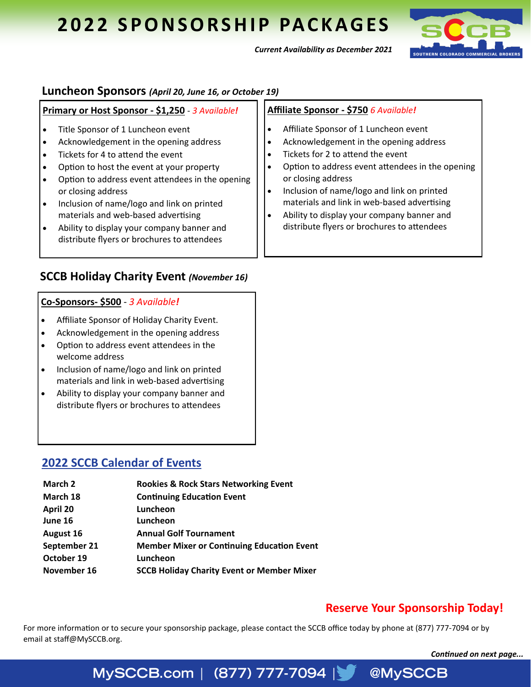## **2022 SPONSORSHIP PACKAGES**



*Current Availability as December 2021*

#### **Luncheon Sponsors** *(April 20, June 16, or October 19)*

| Primary or Host Sponsor - \$1,250 - 3 Available!                                                                                                                                                                                                                                                                                                                                                                                       | Affiliate Sponsor - \$750 6 Available!                                                                                                                                                                                                                                                                                                                                                                |
|----------------------------------------------------------------------------------------------------------------------------------------------------------------------------------------------------------------------------------------------------------------------------------------------------------------------------------------------------------------------------------------------------------------------------------------|-------------------------------------------------------------------------------------------------------------------------------------------------------------------------------------------------------------------------------------------------------------------------------------------------------------------------------------------------------------------------------------------------------|
| Title Sponsor of 1 Luncheon event<br>Acknowledgement in the opening address<br>Tickets for 4 to attend the event<br>Option to host the event at your property<br>Option to address event attendees in the opening<br>or closing address<br>Inclusion of name/logo and link on printed<br>$\bullet$<br>materials and web-based advertising<br>Ability to display your company banner and<br>distribute flyers or brochures to attendees | Affiliate Sponsor of 1 Luncheon event<br>Acknowledgement in the opening address<br>Tickets for 2 to attend the event<br>Option to address event attendees in the opening<br>or closing address<br>Inclusion of name/logo and link on printed<br>$\bullet$<br>materials and link in web-based advertising<br>Ability to display your company banner and<br>distribute flyers or brochures to attendees |

### **SCCB Holiday Charity Event** *(November 16)*

#### **Co-Sponsors- \$500** - *3 Available!*

- Affiliate Sponsor of Holiday Charity Event.
- Acknowledgement in the opening address
- Option to address event attendees in the welcome address
- Inclusion of name/logo and link on printed materials and link in web-based advertising
- Ability to display your company banner and distribute flyers or brochures to attendees

### **2022 SCCB Calendar of Events**

| March 2      | <b>Rookies &amp; Rock Stars Networking Event</b>  |
|--------------|---------------------------------------------------|
| March 18     | <b>Continuing Education Event</b>                 |
| April 20     | Luncheon                                          |
| June 16      | Luncheon                                          |
| August 16    | <b>Annual Golf Tournament</b>                     |
| September 21 | <b>Member Mixer or Continuing Education Event</b> |
| October 19   | Luncheon                                          |
| November 16  | <b>SCCB Holiday Charity Event or Member Mixer</b> |

## **Reserve Your Sponsorship Today!**

@MySCCB

For more information or to secure your sponsorship package, please contact the SCCB office today by phone at (877) 777-7094 or by email at staff@MySCCB.org.

*Continued on next page...*

## MySCCB.com | (877) 777-7094 |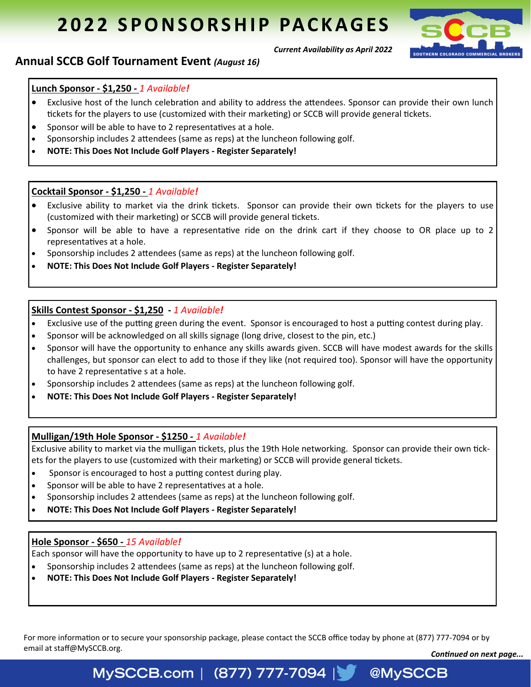# **2022 SPONSORSHIP PACKAGES**



## **Annual SCCB Golf Tournament Event** *(August 16)*

#### **Lunch Sponsor - \$1,250 -** *1 Available!*

• Exclusive host of the lunch celebration and ability to address the attendees. Sponsor can provide their own lunch tickets for the players to use (customized with their marketing) or SCCB will provide general tickets.

*Current Availability as April 2022*

- Sponsor will be able to have to 2 representatives at a hole.
- Sponsorship includes 2 attendees (same as reps) at the luncheon following golf.
- **NOTE: This Does Not Include Golf Players - Register Separately!**

#### **Cocktail Sponsor - \$1,250 -** *1 Available!*

- Exclusive ability to market via the drink tickets. Sponsor can provide their own tickets for the players to use (customized with their marketing) or SCCB will provide general tickets.
- Sponsor will be able to have a representative ride on the drink cart if they choose to OR place up to 2 representatives at a hole.
- Sponsorship includes 2 attendees (same as reps) at the luncheon following golf.
- **NOTE: This Does Not Include Golf Players - Register Separately!**

#### **Skills Contest Sponsor - \$1,250 -** *1 Available!*

- Exclusive use of the putting green during the event. Sponsor is encouraged to host a putting contest during play.
- Sponsor will be acknowledged on all skills signage (long drive, closest to the pin, etc.)
- Sponsor will have the opportunity to enhance any skills awards given. SCCB will have modest awards for the skills challenges, but sponsor can elect to add to those if they like (not required too). Sponsor will have the opportunity to have 2 representative s at a hole.
- Sponsorship includes 2 attendees (same as reps) at the luncheon following golf.
- **NOTE: This Does Not Include Golf Players - Register Separately!**

#### **Mulligan/19th Hole Sponsor - \$1250 -** *1 Available!*

Exclusive ability to market via the mulligan tickets, plus the 19th Hole networking. Sponsor can provide their own tickets for the players to use (customized with their marketing) or SCCB will provide general tickets.

- Sponsor is encouraged to host a putting contest during play.
- Sponsor will be able to have 2 representatives at a hole.
- Sponsorship includes 2 attendees (same as reps) at the luncheon following golf.
- **NOTE: This Does Not Include Golf Players - Register Separately!**

#### **Hole Sponsor - \$650 -** *15 Available!*

Each sponsor will have the opportunity to have up to 2 representative (s) at a hole.

• Sponsorship includes 2 attendees (same as reps) at the luncheon following golf.

• **NOTE: This Does Not Include Golf Players - Register Separately!** 

For more information or to secure your sponsorship package, please contact the SCCB office today by phone at (877) 777-7094 or by email at staff@MySCCB.org.

*Continued on next page...*

@MySCCB

## MySCCB.com | (877) 777-7094 |